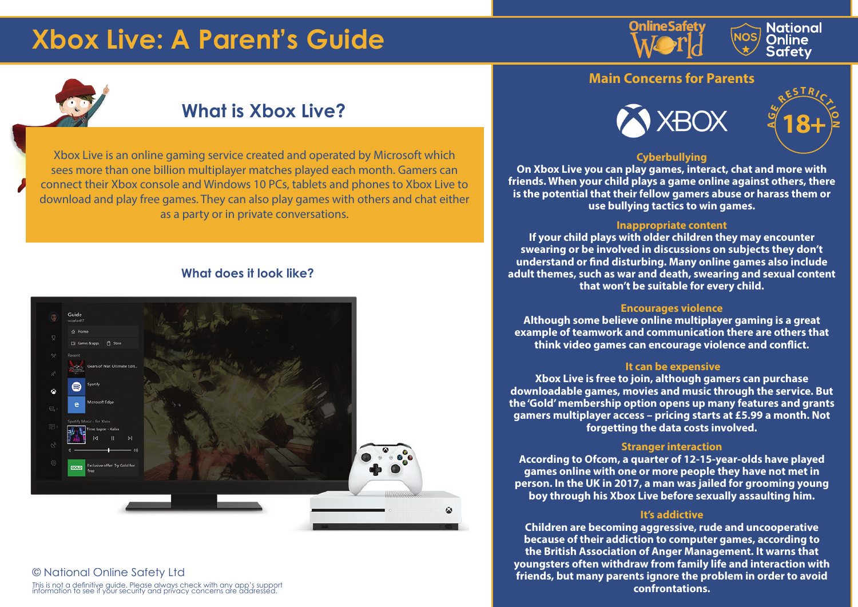# **Xbox Live: A Parent's Guide**







## **What is Xbox Live?**

Xbox Live is an online gaming service created and operated by Microsoft which sees more than one billion multiplayer matches played each month. Gamers can connect their Xbox console and Windows 10 PCs, tablets and phones to Xbox Live to download and play free games. They can also play games with others and chat either as a party or in private conversations.

## **What does it look like?**



## © National Online Safety Ltd

This is not a definitive guide. Please always check with any app's support information to see if your security and privacy concerns are addressed.

## **Main Concerns for Parents**

**KOR** 



## **Cyberbullying**

**On Xbox Live you can play games, interact, chat and more with friends. When your child plays a game online against others, there is the potential that their fellow gamers abuse or harass them or use bullying tactics to win games.**

#### **Inappropriate content**

**If your child plays with older children they may encounter swearing or be involved in discussions on subjects they don't understand or find disturbing. Many online games also include adult themes, such as war and death, swearing and sexual content that won't be suitable for every child.**

### **Encourages violence**

**Although some believe online multiplayer gaming is a great example of teamwork and communication there are others that think video games can encourage violence and conflict.**

#### **It can be expensive**

**Xbox Live is free to join, although gamers can purchase downloadable games, movies and music through the service. But the 'Gold' membership option opens up many features and grants gamers multiplayer access – pricing starts at £5.99 a month. Not forgetting the data costs involved.**

### **Stranger interaction**

**According to Ofcom, a quarter of 12-15-year-olds have played games online with one or more people they have not met in person. In the UK in 2017, a man was jailed for grooming young boy through his Xbox Live before sexually assaulting him.**

#### **It's addictive**

**Children are becoming aggressive, rude and uncooperative because of their addiction to computer games, according to the British Association of Anger Management. It warns that youngsters often withdraw from family life and interaction with friends, but many parents ignore the problem in order to avoid confrontations.**